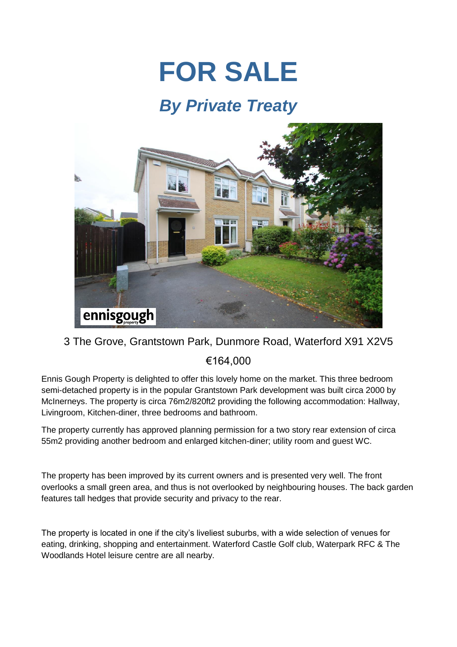## **FOR SALE**

## *By Private Treaty*



## 3 The Grove, Grantstown Park, Dunmore Road, Waterford X91 X2V5 €164,000

Ennis Gough Property is delighted to offer this lovely home on the market. This three bedroom semi-detached property is in the popular Grantstown Park development was built circa 2000 by McInerneys. The property is circa 76m2/820ft2 providing the following accommodation: Hallway, Livingroom, Kitchen-diner, three bedrooms and bathroom.

The property currently has approved planning permission for a two story rear extension of circa 55m2 providing another bedroom and enlarged kitchen-diner; utility room and guest WC.

The property has been improved by its current owners and is presented very well. The front overlooks a small green area, and thus is not overlooked by neighbouring houses. The back garden features tall hedges that provide security and privacy to the rear.

The property is located in one if the city's liveliest suburbs, with a wide selection of venues for eating, drinking, shopping and entertainment. Waterford Castle Golf club, Waterpark RFC & The Woodlands Hotel leisure centre are all nearby.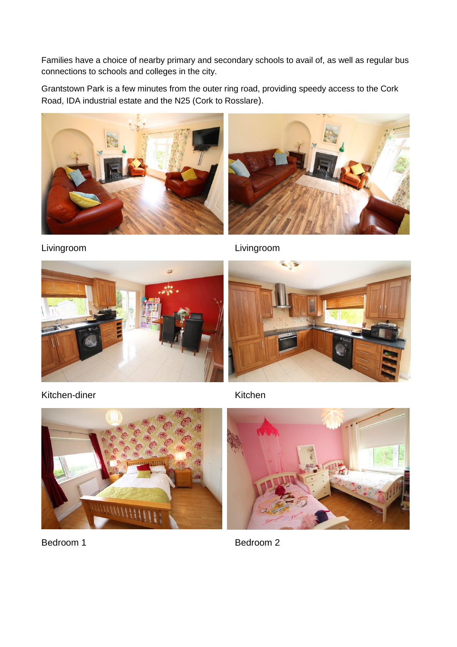Families have a choice of nearby primary and secondary schools to avail of, as well as regular bus connections to schools and colleges in the city.

Grantstown Park is a few minutes from the outer ring road, providing speedy access to the Cork Road, IDA industrial estate and the N25 (Cork to Rosslare).





Livingroom Livingroom





Kitchen-diner Kitchen Kitchen



Bedroom 1 Bedroom 2